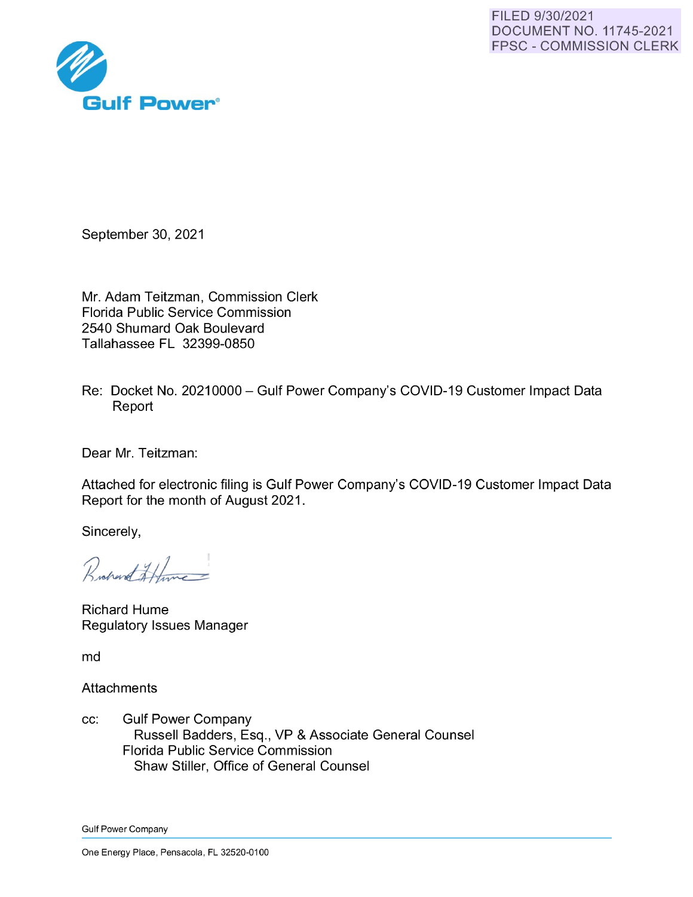

September 30, 2021

Mr. Adam Teitzman, Commission Clerk Florida Public Service Commission 2540 Shumard Oak Boulevard Tallahassee FL 32399-0850

Re: Docket No. 20210000- Gulf Power Company's COVID-19 Customer Impact Data Report

Dear Mr. Teitzman:

Attached for electronic filing is Gulf Power Company's COVID-19 Customer Impact Data Report for the month of August 2021 .

Sincerely,

Rochard Hume

Richard Hume Regulatory Issues Manager

md

**Attachments** 

cc: Gulf Power Company Russell Badders, Esq., VP & Associate General Counsel Florida Public Service Commission Shaw Stiller, Office of General Counsel

Gulf Power Company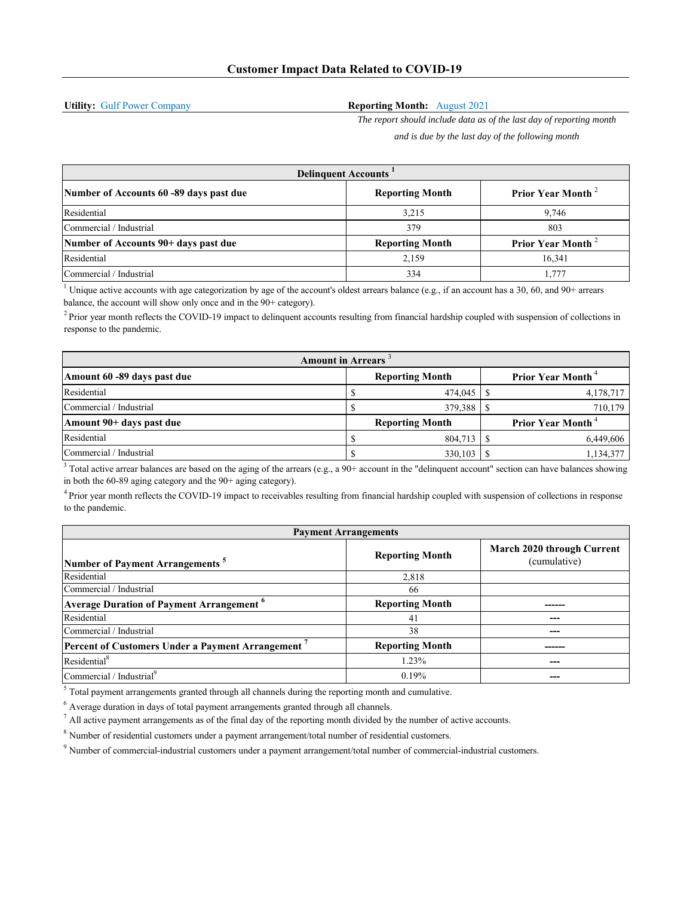**Utility:** Gulf Power Company

## **Reporting Month:** August 2021

*The report should include data as of the last day of reporting month and is due by the last day of the following month*

| <b>Delinquent Accounts</b>              |                        |                         |  |  |  |
|-----------------------------------------|------------------------|-------------------------|--|--|--|
| Number of Accounts 60 -89 days past due | <b>Reporting Month</b> | <b>Prior Year Month</b> |  |  |  |
| Residential                             | 3.215                  | 9.746                   |  |  |  |
| Commercial / Industrial                 | 379                    | 803                     |  |  |  |
| Number of Accounts 90+ days past due    | <b>Reporting Month</b> | <b>Prior Year Month</b> |  |  |  |
| Residential                             | 2.159                  | 16.341                  |  |  |  |
| Commercial / Industrial                 | 334                    | 1.777                   |  |  |  |

<sup>1</sup> Unique active accounts with age categorization by age of the account's oldest arrears balance (e.g., if an account has a 30, 60, and 90+ arrears balance, the account will show only once and in the 90+ category).

 $<sup>2</sup>$  Prior year month reflects the COVID-19 impact to delinquent accounts resulting from financial hardship coupled with suspension of collections in</sup> response to the pandemic.

| <b>Amount in Arrears</b>    |  |                        |  |                                      |
|-----------------------------|--|------------------------|--|--------------------------------------|
| Amount 60 -89 days past due |  | <b>Reporting Month</b> |  | <b>Prior Year Month</b> <sup>4</sup> |
| Residential                 |  | 474,045                |  | 4,178,717                            |
| Commercial / Industrial     |  | 379,388                |  | 710,179                              |
| Amount 90+ days past due    |  | <b>Reporting Month</b> |  | <b>Prior Year Month</b> <sup>4</sup> |
| Residential                 |  | 804.713                |  | 6.449.606                            |
| Commercial / Industrial     |  | 330,103                |  | 1,134,377                            |

 $3$  Total active arrear balances are based on the aging of the arrears (e.g., a 90+ account in the "delinquent account" section can have balances showing in both the 60-89 aging category and the 90+ aging category).

4 Prior year month reflects the COVID-19 impact to receivables resulting from financial hardship coupled with suspension of collections in response to the pandemic.

| <b>Payment Arrangements</b>                                 |                        |                                            |  |  |
|-------------------------------------------------------------|------------------------|--------------------------------------------|--|--|
| Number of Payment Arrangements <sup>5</sup>                 | <b>Reporting Month</b> | March 2020 through Current<br>(cumulative) |  |  |
| Residential                                                 | 2,818                  |                                            |  |  |
| Commercial / Industrial                                     | 66                     |                                            |  |  |
| <b>Average Duration of Payment Arrangement</b> <sup>6</sup> | <b>Reporting Month</b> |                                            |  |  |
| Residential                                                 | 41                     |                                            |  |  |
| Commercial / Industrial                                     | 38                     |                                            |  |  |
| <b>Percent of Customers Under a Payment Arrangement</b>     | <b>Reporting Month</b> | ------                                     |  |  |
| Residential <sup>8</sup>                                    | 1.23%                  |                                            |  |  |
| Commercial / Industrial <sup>9</sup>                        | 0.19%                  |                                            |  |  |

 $<sup>5</sup>$  Total payment arrangements granted through all channels during the reporting month and cumulative.</sup>

 $<sup>6</sup>$  Average duration in days of total payment arrangements granted through all channels.</sup>

 $<sup>7</sup>$  All active payment arrangements as of the final day of the reporting month divided by the number of active accounts.</sup>

 $8$  Number of residential customers under a payment arrangement/total number of residential customers.

9 Number of commercial-industrial customers under a payment arrangement/total number of commercial-industrial customers.